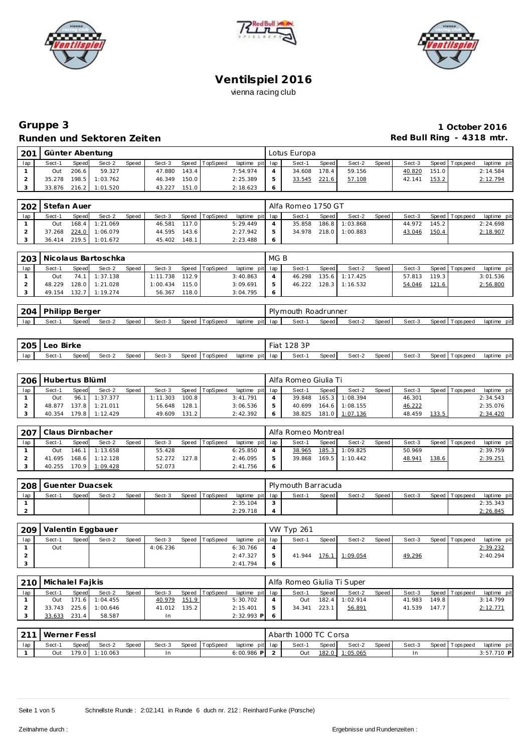





# **Gruppe 3 1 October 2016** Runden und Sektoren Zeiten **Red Bull Ring - 4318 mtr.**

| 201 |        |       | Günter Abentung |       |        |       |                |                 | Lotus Europa |         |        |       |        |       |                   |             |
|-----|--------|-------|-----------------|-------|--------|-------|----------------|-----------------|--------------|---------|--------|-------|--------|-------|-------------------|-------------|
| lap | Sect-1 | Speed | Sect-2          | Speed | Sect-3 |       | Speed TopSpeed | laptime pit lap | Sect-1       | Speed I | Sect-2 | Speed | Sect-3 |       | Speed   Tops peed | laptime pit |
|     | Out    | 206.6 | 59.327          |       | 47.880 | 143.4 |                | 7:54.974        | 34.608       | 178.4   | 59.156 |       | 40.820 | 151.0 |                   | 2:14.584    |
|     | 35.278 | 198.5 | 1:03.762        |       | 46.349 | 150.0 |                | 2:25.389        | 33.545       | 221.6   | 57.108 |       | 42.141 | 153.2 |                   | 2:12.794    |
|     | 33.876 | 216.2 | 1:01.520        |       | 43.227 | 151.0 |                | 2:18.623        |              |         |        |       |        |       |                   |             |

|     | 202 Stefan Auer |       |                  |       |        |       |          |                 |               | Alfa Romeo 1750 GT |       |                |       |        |       |                   |             |
|-----|-----------------|-------|------------------|-------|--------|-------|----------|-----------------|---------------|--------------------|-------|----------------|-------|--------|-------|-------------------|-------------|
| lap | Sect-1          | Speed | Sect-2           | Speed | Sect-3 | Speed | TopSpeed | laptime pit lap |               | Sect-1             | Speed | Sect-2         | Speed | Sect-3 |       | Speed   Tops peed | laptime pit |
|     | Out             |       | $168.4$ 1:21.069 |       | 46.581 | 117.0 |          | 5:29.449        |               | 35.858             |       | 186.8 1:03.868 |       | 44.972 | 145.2 |                   | 2:24.698    |
|     | 37.268          | 224.0 | 1:06.079         |       | 44.595 | 143.6 |          | 2:27.942        | $\mathcal{P}$ | 34.978             |       | 218.0 1:00.883 |       | 43.046 | 150.4 |                   | 2:18.907    |
|     | 36.414          |       | 219.5 1:01.672   |       | 45.402 | 148.1 |          | 2:23.488        | -6            |                    |       |                |       |        |       |                   |             |

|     |        |       | 203   Nicolaus Bartoschka |       |          |       |                |                 | MG B |        |         |                  |       |              |       |           |             |
|-----|--------|-------|---------------------------|-------|----------|-------|----------------|-----------------|------|--------|---------|------------------|-------|--------------|-------|-----------|-------------|
| lap | Sect-1 | Speed | Sect-2                    | Speed | Sect-3   |       | Speed TopSpeed | laptime pit lap |      | Sect-1 | Speed I | Sect-2           | Speed | Sect-3       | Speed | Tops peed | laptime pit |
|     | Out    |       | 74.1 1:37.138             |       | 1:11.738 | 112.9 |                | 3:40.863        |      | 46.298 |         | 135.6 1:17.425   |       | 57.813 119.3 |       |           | 3:01.536    |
|     | 48.229 |       | $128.0$ 1:21.028          |       | : 00.434 | 115.0 |                | 3:09.691        |      | 46.222 |         | $128.3$ 1:16.532 |       | 54.046       | 121.6 |           | 2:56.800    |
|     | 49.154 |       | 132.7 1:19.274            |       | 56.367   | 118.0 |                | 3:04.795        |      |        |         |                  |       |              |       |           |             |

| 204 | Philipp | , Berger |        |       |        |       |          |         |         | Plymouth Roadrunner |       |        |       |        |              |          |                |
|-----|---------|----------|--------|-------|--------|-------|----------|---------|---------|---------------------|-------|--------|-------|--------|--------------|----------|----------------|
| lap | Sect-   | Speed    | Sect-2 | Speed | Sect-3 | Speed | TopSpeed | laptime | pit lap | Sect-               | Speed | Sect-2 | Speed | Sect-3 | Speed $\top$ | Topspeed | pit<br>laptime |

| 205 | Leo Birke |       |        |       |        |       |          |                 | Fiat | 128 3P |       |        |       |        |                 |                |
|-----|-----------|-------|--------|-------|--------|-------|----------|-----------------|------|--------|-------|--------|-------|--------|-----------------|----------------|
| lap | Sect-1    | Speed | Sect-2 | Speed | Sect-3 | Speed | TopSpeed | laptime pit lap |      | Sect-  | Speed | Sect-2 | Speed | Sect-3 | Speed Tops peed | pit<br>laptime |

| 206 | Hubertus Blüml |         |                |       |          |         |          |                 | Alfa Romeo Giulia Ti |       |          |       |        |       |                |             |
|-----|----------------|---------|----------------|-------|----------|---------|----------|-----------------|----------------------|-------|----------|-------|--------|-------|----------------|-------------|
| lap | Sect-1         | Speed   | Sect-2         | Speed | Sect-3   | Speed   | TopSpeed | laptime pit lap | Sect-1               | Speed | Sect-2   | Speed | Sect-3 |       | Speed Topspeed | laptime pit |
|     | Out            |         | 96.1 1:37.377  |       | : 11.303 | 100.8   |          | 3:41.791        | 39.848               | 165.3 | 1:08.394 |       | 46.301 |       |                | 2:34.543    |
|     | 48.877         |         | 137.8 1:21.011 |       | 56.648   | 128.1   |          | 3:06.536        | 40.699               | 164.6 | 1:08.155 |       | 46.222 |       |                | 2:35.076    |
|     | 40.354         | 179.8 L | 1:12.429       |       | 49.609   | $131.2$ |          | 2:42.392        | 38.825               | 181.0 | 1:07.136 |       | 48.459 | 133.5 |                | 2:34.420    |

| 207 | l Claus Dirnbacher |       |                  |       |        |              |          |                 | Alfa Romeo Montreal |       |                  |       |        |       |                 |             |
|-----|--------------------|-------|------------------|-------|--------|--------------|----------|-----------------|---------------------|-------|------------------|-------|--------|-------|-----------------|-------------|
| lap | Sect-1             | Speed | Sect-2           | Speed | Sect-3 | <b>Speed</b> | TopSpeed | laptime pit lap | Sect-1              | Speed | Sect-2           | Speed | Sect-3 |       | Speed Tops peed | laptime pit |
|     | Out                |       | $146.1$ 1:13.658 |       | 55.428 |              |          | 6:25.850        | 38.965              | 185.3 | 1:09.825         |       | 50.969 |       |                 | 2:39.759    |
|     | 41.695             |       | 168.6 1:12.128   |       | 52.272 | 127.8        |          | 2:46.095        | 39.868              |       | $169.5$ 1:10.442 |       | 48.941 | 138.6 |                 | 2:39.251    |
|     | 40.255             |       | 170.9 1:09.428   |       | 52.073 |              |          | 2:41.756        |                     |       |                  |       |        |       |                 |             |

| 208 | Guenter Duacsek |              |        |       |        |              |          |                 | Plymouth Barracuda |              |        |       |        |                   |             |
|-----|-----------------|--------------|--------|-------|--------|--------------|----------|-----------------|--------------------|--------------|--------|-------|--------|-------------------|-------------|
| lap | Sect-1          | <b>Speed</b> | Sect-2 | Speed | Sect-3 | <b>Speed</b> | TopSpeed | laptime pit lap | Sect-1             | <b>Speed</b> | Sect-2 | Speed | Sect-3 | Speed   Tops peed | laptime pit |
|     |                 |              |        |       |        |              |          | 2:35.104        |                    |              |        |       |        |                   | 2:35.343    |
|     |                 |              |        |       |        |              |          | 2:29.718        |                    |              |        |       |        |                   | 2:26.845    |

| 209 |        |       | Valentin Eggbauer |       |          |       |          |                 |   | <b>VW Typ 261</b> |              |          |       |        |       |           |             |
|-----|--------|-------|-------------------|-------|----------|-------|----------|-----------------|---|-------------------|--------------|----------|-------|--------|-------|-----------|-------------|
| lap | Sect-1 | Speed | Sect-2            | Speed | Sect-3   | Speed | TopSpeed | laptime pit lap |   | Sect-1            | <b>Speed</b> | Sect-2   | Speed | Sect-3 | Speed | Tops peed | laptime pit |
|     | Out    |       |                   |       | 4:06.236 |       |          | 6:30.766        |   |                   |              |          |       |        |       |           | 2:39.232    |
|     |        |       |                   |       |          |       |          | 2:47.327        |   | 41.944            | 176.1        | 1:09.054 |       | 49.296 |       |           | 2:40.294    |
|     |        |       |                   |       |          |       |          | 2:41.794        | 6 |                   |              |          |       |        |       |           |             |

| <b>210</b> | Michalel Faikis |       |                |       |        |       |                |                 | Alfa Romeo Giulia Ti Super |         |          |         |        |       |                |             |
|------------|-----------------|-------|----------------|-------|--------|-------|----------------|-----------------|----------------------------|---------|----------|---------|--------|-------|----------------|-------------|
| lap        | Sect-1          | Speed | Sect-2         | Speed | Sect-3 |       | Speed TopSpeed | laptime pit lap | Sect-1                     | Speed I | Sect-2   | Speed I | Sect-3 |       | Speed Topspeed | laptime pit |
|            | Out.            |       | 171.6 1:04.455 |       | 40.979 | 151.9 |                | 5:30.702        | Out                        | 182.4   | 1:02.914 |         | 41.983 | 149.8 |                | 3:14.799    |
|            | 33.743          |       | 225.6 1:00.646 |       | 41.012 | 135.2 |                | 2:15.401        | 34.341                     | 223.1   | 56.891   |         | 41.539 | 147.7 |                | 2:12.771    |
|            | 33.633          | 231.4 | 58.587         |       |        |       |                | $2:32.993$ P    |                            |         |          |         |        |       |                |             |

|     | 211   Werner Fessl |       |          |       |        |                |                 | Abarth 1000 TC Corsa |       |          |       |        |                   |              |  |
|-----|--------------------|-------|----------|-------|--------|----------------|-----------------|----------------------|-------|----------|-------|--------|-------------------|--------------|--|
| lap | Sect-1             | Speed | Sect-2   | Speed | Sect-3 | Speed TopSpeed | laptime pit lap | Sect-1               | Speed | Sect-2   | Speed | Sect-3 | Speed   Tops peed | laptime pit  |  |
|     | Out                | 179.0 | 1:10.063 |       | In     |                | 6:00.986 PI     | Out                  | 182.0 | 1:05.065 |       | In.    |                   | $3:57.710$ P |  |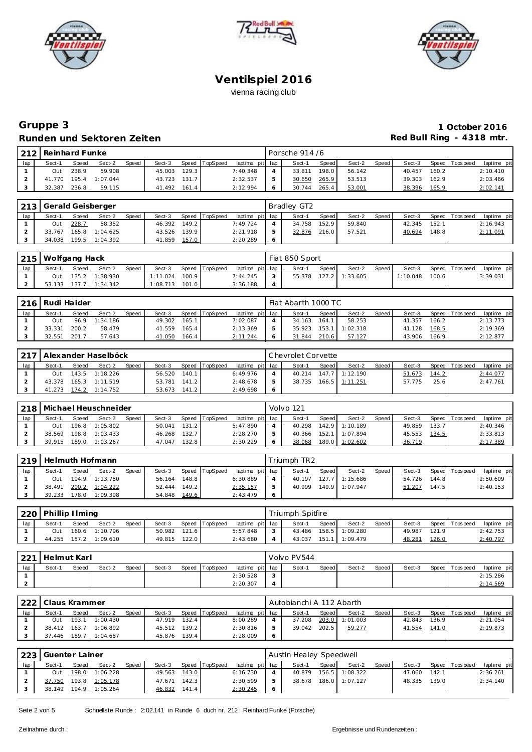





# **Gruppe 3 1 October 2016 Runden und Sektoren Zeiten Runden und Sektoren Zeiten Red Bull Ring - 4318 mtr.**

|     | 212 | Reinhard Funke |              |          |       |        |       |          |          |         | Porsche 914 /6 |       |        |       |        |       |                   |             |
|-----|-----|----------------|--------------|----------|-------|--------|-------|----------|----------|---------|----------------|-------|--------|-------|--------|-------|-------------------|-------------|
| lap |     | Sect-1         | <b>Speed</b> | Sect-2   | Speed | Sect-3 | Speed | TopSpeed | laptime  | pit lap | Sect-1         | Speed | Sect-2 | Speed | Sect-3 |       | Speed   Tops peed | laptime pit |
|     |     | Out            | 238.9        | 59.908   |       | 45.003 | 129.3 |          | 7:40.348 |         | 33.81          | 198.0 | 56.142 |       | 40.457 | 160.2 |                   | 2:10.410    |
|     |     | 41.770         | 195.4        | 1:07.044 |       | 43.723 | 131.7 |          | 2:32.537 |         | 30.65C         | 265.9 | 53.513 |       | 39.303 | 162.9 |                   | 2:03.466    |
|     |     | 32.387         | 236.8        | 59.115   |       | 41.492 | 161.4 |          | 2:12.994 |         | 30.744         | 265.4 | 53.001 |       | 38.396 | 165.9 |                   | 2:02.141    |

|     |        | 213 Gerald Geisberger<br>Sect-2<br><b>Speed</b><br>Speed TopSpeed<br>Sect-3<br>Speed<br>228.7<br>149.2<br>58.352<br>46.392 |          |  |        |       |  |                 | Bradley GT2 |              |        |       |        |       |                |             |
|-----|--------|----------------------------------------------------------------------------------------------------------------------------|----------|--|--------|-------|--|-----------------|-------------|--------------|--------|-------|--------|-------|----------------|-------------|
| lap | Sect-1 |                                                                                                                            |          |  |        |       |  | laptime pit lap | Sect-1      | <b>Speed</b> | Sect-2 | Speed | Sect-3 |       | Speed Topspeed | laptime pit |
|     | Out    |                                                                                                                            |          |  |        |       |  | 7:49.724        | 34.758      | 152.9        | 59.840 |       | 42.345 | 152.1 |                | 2:16.943    |
|     | 33.767 | 165.8                                                                                                                      | 1:04.625 |  | 43.526 | 139.9 |  | 2:21.918        | 32.876      | 216.0        | 57.521 |       | 40.694 | 148.8 |                | 2:11.091    |
|     | 34.038 | 199.5                                                                                                                      | 1:04.392 |  | 41.859 | 157.0 |  | 2:20.289        |             |              |        |       |        |       |                |             |

|     |        | 215   Wolfgang Hack<br>Sect-3<br>Speed<br>Speed TopSpeed<br>Speed<br>Sect-2<br>135.2 1:38.930<br>100.9<br>1:11.024<br>Out |                |  |          |       |  |                 |  | Fiat 850 Sport |         |                  |         |          |       |                 |             |
|-----|--------|---------------------------------------------------------------------------------------------------------------------------|----------------|--|----------|-------|--|-----------------|--|----------------|---------|------------------|---------|----------|-------|-----------------|-------------|
| lap | Sect-1 |                                                                                                                           |                |  |          |       |  | laptime pit lap |  | Sect-1         | Speed I | Sect-2           | Speed I | Sect-3   |       | Speed Tops peed | laptime pit |
|     |        |                                                                                                                           |                |  |          |       |  | 7:44.245        |  | 55.378         |         | $127.2$ 1:33.605 |         | 1:10.048 | 100.6 |                 | 3:39.031    |
|     | 53.133 |                                                                                                                           | 137.7 1:34.342 |  | 1:08.713 | 101.0 |  | 3:36.188        |  |                |         |                  |         |          |       |                 |             |

| 216 | Rudi Haider |       |               |       |        |       |                |                 |   | Fiat Abarth 1000 TC |              |          |       |        |       |                  |             |
|-----|-------------|-------|---------------|-------|--------|-------|----------------|-----------------|---|---------------------|--------------|----------|-------|--------|-------|------------------|-------------|
| lap | Sect-1      | Speed | Sect-2        | Speed | Sect-3 |       | Speed TopSpeed | laptime pit lap |   | Sect-1              | <b>Speed</b> | Sect-2   | Speed | Sect-3 |       | Speed   Topspeed | laptime pit |
|     | Out         |       | 96.9 1:34.186 |       | 49.302 | 165.1 |                | 7:02.087        |   | 34.163              | 164.         | 58.253   |       | 41.357 | 166.2 |                  | 2:13.773    |
|     | 33.331      | 200.2 | 58.479        |       | 41.559 | 165.4 |                | 2:13.369        | 5 | 35.923              | 153.1        | 1:02.318 |       | 41.128 | 168.5 |                  | 2:19.369    |
|     | 32.551      | 201.7 | 57.643        |       | 41.050 | 166.4 |                | 2:11.244        | 6 | 31.844              | 210.6        | 57.127   |       | 43.906 | 166.9 |                  | 2:12.877    |

| 217 |        |       | Alexander Haselböck |       |        |       |                |                 |    | l Chevrolet Corvette |         |                  |         |        |       |                 |             |
|-----|--------|-------|---------------------|-------|--------|-------|----------------|-----------------|----|----------------------|---------|------------------|---------|--------|-------|-----------------|-------------|
| lap | Sect-1 | Speed | Sect-2              | Speed | Sect-3 |       | Speed TopSpeed | laptime pit lap |    | Sect-1               | Speed I | Sect-2           | Speed I | Sect-3 |       | Speed Tops peed | laptime pit |
|     | Out    |       | 143.5 1:18.226      |       | 56.520 | 140.1 |                | 6:49.976        |    | 40.214               |         | 147.7 1:12.190   |         | 51.673 | 144.2 |                 | 2:44.077    |
|     | 43.378 |       | $165.3$ 1:11.519    |       | 53.781 | 141.2 |                | 2:48.678        | ь  | 38.735               |         | $166.5$ 1:11.251 |         | 57.775 | 25.6  |                 | 2:47.761    |
|     | 41.273 |       | 174.2 1:14.752      |       | 53.673 | 141.2 |                | 2:49.698        | -6 |                      |         |                  |         |        |       |                 |             |

|     |        |              | 218   Michael Heuschneider |              |        |       |          |                 | Volvo 121 |         |                |        |        |       |                |             |
|-----|--------|--------------|----------------------------|--------------|--------|-------|----------|-----------------|-----------|---------|----------------|--------|--------|-------|----------------|-------------|
| lap | Sect-1 | <b>Speed</b> | Sect-2                     | <b>Speed</b> | Sect-3 | Speed | TopSpeed | laptime pit lap | Sect-1    | Speed I | Sect-2         | Speed, | Sect-3 |       | Speed Topspeed | laptime pit |
|     | Out    |              | 196.8 1:05.802             |              | 50.041 | 131.2 |          | 5:47.890        | 40.298    | 142.9   | 1:10.189       |        | 49.859 | 133.7 |                | 2:40.346    |
|     | 38.569 |              | 198.8 1:03.433             |              | 46.268 | 132.7 |          | 2:28.270        | 40.366    | 152.1   | 1:07.894       |        | 45.553 | 134.5 |                | 2:33.813    |
|     | 39.915 | 189.0        | 1:03.267                   |              | 47.047 | 132.8 |          | 2:30.229        | 38.068    |         | 189.0 1:02.602 |        | 36.719 |       |                | 2:17.389    |

|     | 1219   Helmuth Hofmann |       |                |       |              |       |                |                 | Triumph TR2 |       |                |         |        |       |                 |             |
|-----|------------------------|-------|----------------|-------|--------------|-------|----------------|-----------------|-------------|-------|----------------|---------|--------|-------|-----------------|-------------|
| lap | Sect-1                 | Speed | Sect-2         | Speed | Sect-3       |       | Speed TopSpeed | laptime pit lap | Sect-1      | Speed | Sect-2         | Speed I | Sect-3 |       | Speed Tops peed | laptime pit |
|     | Out                    |       | 194.9 1:13.750 |       | 56.164       | 148.8 |                | 6:30.889        | 40.197      |       | 127.7 1:15.686 |         | 54.726 | 144.8 |                 | 2:50.609    |
|     | 38.491                 |       | 200.2 1:04.222 |       | 52.444 149.2 |       |                | 2:35.157        | 40.999      |       | 149.9 1:07.947 |         | 51.207 | 147.5 |                 | 2:40.153    |
|     | 39.233                 |       | 178.0 1:09.398 |       | 54.848       | 149.6 |                | 2:43.479        |             |       |                |         |        |       |                 |             |

|     | 220   Phillip I Iming |              |                |              |        |                    |          |                 |               | Triumph Spitfire |              |                |       |        |       |                   |             |
|-----|-----------------------|--------------|----------------|--------------|--------|--------------------|----------|-----------------|---------------|------------------|--------------|----------------|-------|--------|-------|-------------------|-------------|
| lap | Sect-1                | <b>Speed</b> | Sect-2         | <b>Speed</b> | Sect-3 | Speed              | TopSpeed | laptime pit lap |               | Sect-            | <b>Speed</b> | Sect-2         | Speed | Sect-3 |       | Speed   Tops peed | laptime pit |
|     | Out                   |              | 160.6 1:10.796 |              | 50.982 | 121.6 <sub>1</sub> |          | 5:57.848        | $\mathcal{L}$ | 43.486           |              | 158.5 1:09.280 |       | 49.987 | 121.9 |                   | 2:42.753    |
|     | 44.255                |              | 157.2 1:09.610 |              | 49.815 | 122.0              |          | 2:43.680        |               | 43.037           | 151.1        | 1:09.479       |       | 48.281 | 126.0 |                   | 2:40.797    |

| ່າາາ |        | Helmut Karl<br>Sect-2<br>Sect-3<br>Speed<br>Speed |  |  |  |  |                |                 | Volvo PV544 |       |        |         |        |                   |             |
|------|--------|---------------------------------------------------|--|--|--|--|----------------|-----------------|-------------|-------|--------|---------|--------|-------------------|-------------|
| lap  | Sect-1 |                                                   |  |  |  |  | Speed TopSpeed | laptime pit lap | Sect-1      | Speed | Sect-2 | Speed I | Sect-3 | Speed   Tops peed | laptime pit |
|      |        |                                                   |  |  |  |  |                | 2:30.528        |             |       |        |         |        |                   | 2:15.286    |
|      |        |                                                   |  |  |  |  |                | 2:20.307        |             |       |        |         |        |                   | 2:14.569    |

| 222 | I Claus Krammer |       |                |       |        |       |                |                 | Autobianchi A 112 Abarth |         |          |       |        |       |                 |             |
|-----|-----------------|-------|----------------|-------|--------|-------|----------------|-----------------|--------------------------|---------|----------|-------|--------|-------|-----------------|-------------|
| lap | Sect-1          | Speed | Sect-2         | Speed | Sect-3 |       | Speed TopSpeed | laptime pit lap | Sect-1                   | Speed I | Sect-2   | Speed | Sect-3 |       | Speed Tops peed | laptime pit |
|     | Out             | 193.1 | 1:00.430       |       | 47.919 | 132.4 |                | 8:00.289        | 37.208                   | 203.0   | 1:01.003 |       | 42.843 | 136.9 |                 | 2:21.054    |
|     | 38.412          |       | 163.7 1:06.892 |       | 45.512 | 139.2 |                | 2:30.816        | 39.042                   | 202.5   | 59.277   |       | 41.554 | 141.0 |                 | 2:19.873    |
|     | 37.446          |       | 189.7 1:04.687 |       | 45.876 | 139.4 |                | 2:28.009        |                          |         |          |       |        |       |                 |             |

|     | 223   Guenter Lainer<br>Speed<br>Speed TopSpeed<br>Speed<br>Sect-2<br>Sect-3<br>Sect-1<br>198.0 1:06.228<br>143.0<br>49.563<br>Out<br>193.8 1:05.178<br>142.3 |  |                |  |               |       |  | Austin Healey Speedwell |        |       |                |       |        |       |                   |             |
|-----|---------------------------------------------------------------------------------------------------------------------------------------------------------------|--|----------------|--|---------------|-------|--|-------------------------|--------|-------|----------------|-------|--------|-------|-------------------|-------------|
| lap |                                                                                                                                                               |  |                |  |               |       |  | laptime pit lap         | Sect-1 | Speed | Sect-2         | Speed | Sect-3 |       | Speed   Tops peed | laptime pit |
|     |                                                                                                                                                               |  |                |  |               |       |  | 6:16.730                | 40.879 |       | 156.5 1:08.322 |       | 47.060 | 142.1 |                   | 2:36.261    |
|     | 37.750                                                                                                                                                        |  |                |  | 47.671        |       |  | 2:30.599                | 38.678 |       | 186.0 1:07.127 |       | 48.335 | 139.0 |                   | 2:34.140    |
|     | 38.149                                                                                                                                                        |  | 194.9 1:05.264 |  | <u>46.832</u> | 141.4 |  | 2:30.245                |        |       |                |       |        |       |                   |             |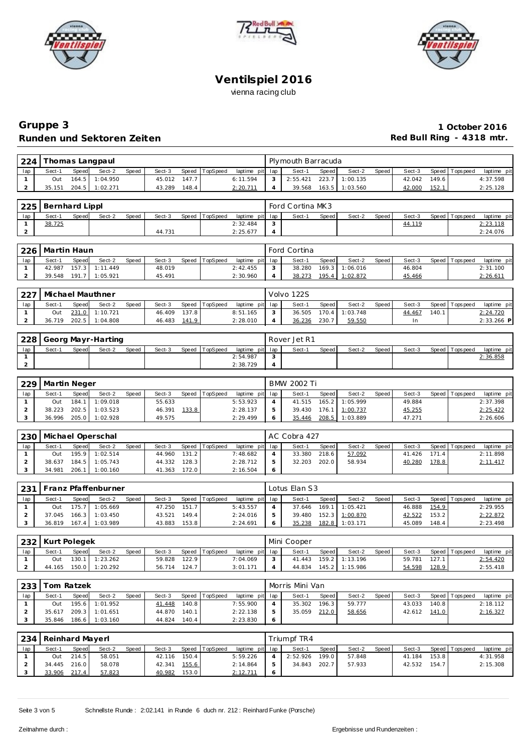





## **Gruppe 3 1 October 2016** Runden und Sektoren Zeiten **Munden und Sektoren Zeiten Red Bull Ring - 4318 mtr.**

| 224 |        |              | Thomas Langpaul |       |        |       |          |                 |        | Plymouth Barracuda |              |                  |       |        |       |                |             |
|-----|--------|--------------|-----------------|-------|--------|-------|----------|-----------------|--------|--------------------|--------------|------------------|-------|--------|-------|----------------|-------------|
| lap | Sect-1 | <b>Speed</b> | Sect-2          | Speed | Sect-3 | Speed | TopSpeed | laptime pit lap |        | Sect-1             | <b>Speed</b> | Sect-2           | Speed | Sect-3 |       | Speed Topspeed | laptime pit |
|     | Out    |              | 164.5 1:04.950  |       | 45.012 | 147.7 |          | 6:11.594        | $\sim$ | 2:55.421           | 223.7        | 1:00.135         |       | 42.042 | 149.6 |                | 4:37.598    |
|     | 35.151 | 204.5        | 1:02.271        |       | 43.289 | 148.4 |          | 2:20.711        |        | 39.568             |              | $163.5$ 1:03.560 |       | 42.000 | 152.1 |                | 2:25.128    |

|     | 225   Bernhard Lippl |              |        |       |        |       |          |                 |               | Ford Cortina MK3 |       |        |       |        |                 |             |
|-----|----------------------|--------------|--------|-------|--------|-------|----------|-----------------|---------------|------------------|-------|--------|-------|--------|-----------------|-------------|
| lap | Sect-1               | <b>Speed</b> | Sect-2 | Speed | Sect-3 | Speed | TopSpeed | laptime pit lap |               | Sect-1           | Speed | Sect-2 | Speed | Sect-3 | Speed Tops peed | laptime pit |
|     | 38.725               |              |        |       |        |       |          | 2:32.484        | $\mathcal{L}$ |                  |       |        |       | 44.119 |                 | 2:23.118    |
|     |                      |              |        |       | 44.731 |       |          | 2:25.677        |               |                  |       |        |       |        |                 | 2:24.076    |

|     | 226   Martin Haun |              |                |              |        |                |                 | Ford Cortina |       |          |       |        |           |           |             |
|-----|-------------------|--------------|----------------|--------------|--------|----------------|-----------------|--------------|-------|----------|-------|--------|-----------|-----------|-------------|
| lap | Sect-1            | <b>Speed</b> | Sect-2         | <b>Speed</b> | Sect-3 | Speed TopSpeed | laptime pit lap | Sect-1       | Speed | Sect-2   | Speed | Sect-3 | Speed   T | Tops peed | laptime pit |
|     | 42.987            |              | 157.3 1:11.449 |              | 48.019 |                | 2:42.455        | 38.280       | 169.3 | 1:06.016 |       | 46.804 |           |           | 2:31.100    |
| ∼   | 39.548            | 191.         | 1:05.921       |              | 45.491 |                | 2:30.960        | 38.273       | 195.4 | 1:02.872 |       | 45.466 |           |           | 2:26.61     |

| 227 | Michael Mauthner |              |                |       |        |       |                |                 | Volvo 122S |       |          |         |        |       |                   |              |
|-----|------------------|--------------|----------------|-------|--------|-------|----------------|-----------------|------------|-------|----------|---------|--------|-------|-------------------|--------------|
| lap | Sect-1           | <b>Speed</b> | Sect-2         | Speed | Sect-3 |       | Speed TopSpeed | laptime pit lap | Sect-1     | Speed | Sect-2   | Speed I | Sect-3 |       | Speed   Tops peed | laptime pit  |
|     | Out              |              | 231.0 1:10.721 |       | 46.409 | 137.8 |                | 8:51.165        | 36.505     | 170.4 | 1:03.748 |         | 44.467 | 140.1 |                   | 2:24.720     |
|     | 36.719           |              | 202.5 1:04.808 |       | 46.483 | 141.9 |                | 2:28.010        | 36.236     | 230.7 | 59.550   |         | In     |       |                   | $2:33.266$ P |

|     | 228   Georg Mayr-Harting |              |        |              |        |                |                 |             | Rover Jet R1 |              |        |       |        |                 |             |
|-----|--------------------------|--------------|--------|--------------|--------|----------------|-----------------|-------------|--------------|--------------|--------|-------|--------|-----------------|-------------|
| lap | Sect-1                   | <b>Speed</b> | Sect-2 | <b>Speed</b> | Sect-3 | Speed TopSpeed | laptime pit lap |             | Sect-        | <b>Speed</b> | Sect-2 | Speed | Sect-3 | Speed Tops peed | laptime pit |
|     |                          |              |        |              |        |                | 2:54.987        | $\sim$<br>ت |              |              |        |       |        |                 | 2:36.858    |
|     |                          |              |        |              |        |                | 2:38.729        |             |              |              |        |       |        |                 |             |

| 229 | Martin Neger |       |                       |       |        |       |          |                 | <b>BMW 2002 Ti</b> |       |                   |       |        |                |             |
|-----|--------------|-------|-----------------------|-------|--------|-------|----------|-----------------|--------------------|-------|-------------------|-------|--------|----------------|-------------|
| lap | Sect-1       | Speed | Sect-2                | Speed | Sect-3 | Speed | TopSpeed | laptime pit lap | Sect-1             | Speed | Sect-2            | Speed | Sect-3 | Speed Topspeed | laptime pit |
|     | Out          |       | 184.1 1:09.018        |       | 55.633 |       |          | 5:53.923        | 41.515             |       | 165.2 1:05.999    |       | 49.884 |                | 2:37.398    |
|     | 38.223       | 202.5 | 1:03.523              |       | 46.391 | 133.8 |          | 2:28.137        | 39.430             | 176.1 | $1 \mid 1:00.737$ |       | 45.255 |                | 2:25.422    |
|     |              |       | 36.996 205.0 1:02.928 |       | 49.575 |       |          | 2:29.499        | 35.446             |       | 208.5 1:03.889    |       | 47.271 |                | 2:26.606    |

|     | 230   Michael Operschal |       |                |       |        |       |          |                 | AC Cobra 427 |       |        |       |        |       |                |             |
|-----|-------------------------|-------|----------------|-------|--------|-------|----------|-----------------|--------------|-------|--------|-------|--------|-------|----------------|-------------|
| lap | Sect-1                  | Speed | Sect-2         | Speed | Sect-3 | Speed | TopSpeed | laptime pit lap | Sect-1       | Speed | Sect-2 | Speed | Sect-3 |       | Speed Topspeed | laptime pit |
|     | Out                     |       | 195.9 1:02.514 |       | 44.960 | 131.2 |          | 7:48.682        | 33.380       | 218.6 | 57.092 |       | 41.426 | 171.4 |                | 2:11.898    |
|     | 38.637                  |       | 184.5 1:05.743 |       | 44.332 | 128.3 |          | 2:28.712        | 32.203       | 202.0 | 58.934 |       | 40.280 | 178.8 |                | 2:11.417    |
|     | 34.981                  | 206.1 | 1:00.160       |       | 41.363 | 172.0 |          | 2:16.504        |              |       |        |       |        |       |                |             |

| 231 |        |       | Franz Pfaffenburner |       |        |       |          |                 | Lotus Elan S3 |       |          |       |        |       |                |             |
|-----|--------|-------|---------------------|-------|--------|-------|----------|-----------------|---------------|-------|----------|-------|--------|-------|----------------|-------------|
| lap | Sect-1 | Speed | Sect-2              | Speed | Sect-3 | Speed | TopSpeed | laptime pit lap | Sect-1        | Speed | Sect-2   | Speed | Sect-3 |       | Speed Topspeed | laptime pit |
|     | Out    | 75.7  | 1:05.669            |       | 47.250 | 151.7 |          | 5:43.557        | 37.646        | 169.1 | 1:05.421 |       | 46.888 | 154.9 |                | 2:29.955    |
|     | 37.045 | 166.3 | 1:03.450            |       | 43.521 | 149.4 |          | 2:24.016        | 39.480        | 152.3 | 1:00.870 |       | 42.522 | 153.2 |                | 2:22.872    |
|     | 36.819 | 167.4 | 1:03.989            |       | 43.883 | 153.8 |          | 2:24.691        | 35.238        | 182.8 | 1:03.171 |       | 45.089 | 148.4 |                | 2:23.498    |

|     | 232   Kurt Polegek |              |          |              |        |       |          |                 |            | Mini Cooper |              |                |       |        |       |                 |                |
|-----|--------------------|--------------|----------|--------------|--------|-------|----------|-----------------|------------|-------------|--------------|----------------|-------|--------|-------|-----------------|----------------|
| lap | Sect-1             | <b>Speed</b> | Sect-2   | <b>Speed</b> | Sect-3 | Speed | TopSpeed | laptime pit lap |            | Sect-1      | <b>Speed</b> | Sect-2         | Speed | Sect-3 |       | Speed Tops peed | laptime<br>pit |
|     | Out                | 130.         | 1:23.262 |              | 59.828 | 122.9 |          | 7:04.069        | $\sqrt{2}$ | 41.443      |              | 159.2 1:13.196 |       | 59.781 | 127.1 |                 | 2:54.420       |
|     | 44.165             | 150.0        | 1:20.292 |              | 56.714 | 124.7 |          | 3:01.171        |            | 44.834      |              | 145.2 1:15.986 |       | 54.598 | 128.9 |                 | 2:55.418       |

|     | 233 Tom Ratzek |       |                |              |        |       |          |                 | Morris Mini Van |         |        |       |        |       |                 |             |
|-----|----------------|-------|----------------|--------------|--------|-------|----------|-----------------|-----------------|---------|--------|-------|--------|-------|-----------------|-------------|
| lap | Sect-1         | Speed | Sect-2         | <b>Speed</b> | Sect-3 | Speed | TopSpeed | laptime pit lap | Sect-1          | Speed I | Sect-2 | Speed | Sect-3 |       | Speed Tops peed | laptime pit |
|     | Out            |       | 195.6 1:01.952 |              | 41.448 | 140.8 |          | 7:55.900        | 35.302          | 196.3   | 59.777 |       | 43.033 | 140.8 |                 | 2:18.112    |
|     | 35.617         |       | 209.3 1:01.651 |              | 44.870 | 140.1 |          | 2:22.138        | 35.059          | 212.0   | 58.656 |       | 42.612 | 141.0 |                 | 2:16.327    |
|     | 35.846         |       | 186.6 1:03.160 |              | 44.824 | 140.4 |          | 2:23.830        |                 |         |        |       |        |       |                 |             |

| 234 | Reinhard Mayerl |              |        |       |        |       |                |                 |                | Triumpf TR4 |              |        |       |        |       |                   |             |
|-----|-----------------|--------------|--------|-------|--------|-------|----------------|-----------------|----------------|-------------|--------------|--------|-------|--------|-------|-------------------|-------------|
| lap | Sect-1          | Speed        | Sect-2 | Speed | Sect-3 |       | Speed TopSpeed | laptime pit lap |                | Sect-1      | <b>Speed</b> | Sect-2 | Speed | Sect-3 |       | Speed   Tops peed | laptime pit |
|     | Out             | 214.5        | 58.051 |       | 42.116 | 150.4 |                | 5:59.226        |                | 2:52.926    | 199.0        | 57.848 |       | 41.184 | 153.8 |                   | 4:31.958    |
|     |                 | 34.445 216.0 | 58.078 |       | 42.341 | 155.6 |                | 2:14.864        | $\mathcal{P}$  | 34.843      | 202.7        | 57.933 |       | 42.532 | 154.7 |                   | 2:15.308    |
|     | 33.906          | 217.4        | 57.823 |       | 40.982 | 153.0 |                | 2:12.711        | $\ddot{\circ}$ |             |              |        |       |        |       |                   |             |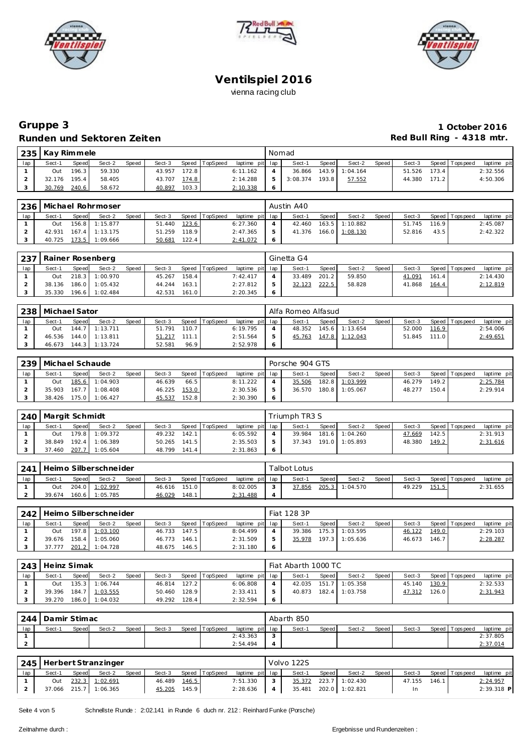





# **Gruppe 3 1 October 2016 Runden und Sektoren Zeiten Runden und Sektoren Zeiten Red Bull Ring - 4318 mtr.**

| 235 | Kay Rimmele |                    |        |       |        |        |          |                 |   | Nomad    |                    |          |       |        |       |                |             |
|-----|-------------|--------------------|--------|-------|--------|--------|----------|-----------------|---|----------|--------------------|----------|-------|--------|-------|----------------|-------------|
| lap | Sect-1      | Speed              | Sect-2 | Speed | Sect-3 | Speed  | TopSpeed | laptime pit lap |   | Sect-1   | Speed              | Sect-2   | Speed | Sect-3 |       | Speed Topspeed | laptime pit |
|     | Out         | 196.3              | 59.330 |       | 43.957 | 172.8  |          | 6:11.162        |   | 36.866   | 143.9              | 1:04.164 |       | 51.526 | 173.4 |                | 2:32.556    |
|     | 32.176      | 195.4 <sub>1</sub> | 58.405 |       | 43.707 | 174.8  |          | 2:14.288        |   | 3:08.374 | 193.8 <sub>1</sub> | 57.552   |       | 44.380 | 171.2 |                | 4:50.306    |
|     | 30.769      | 240.6              | 58.672 |       | 40.897 | 103.31 |          | 2:10.338        | 6 |          |                    |          |       |        |       |                |             |

| 236 |        |         | Michael Rohrmoser |       |        |       |                |                 |         | Austin A40 |              |                |       |        |       |                 |             |
|-----|--------|---------|-------------------|-------|--------|-------|----------------|-----------------|---------|------------|--------------|----------------|-------|--------|-------|-----------------|-------------|
| lap | Sect-1 | Speed   | Sect-2            | Speed | Sect-3 |       | Speed TopSpeed | laptime pit lap |         | Sect-1     | <b>Speed</b> | Sect-2         | Speed | Sect-3 |       | Speed Tops peed | laptime pit |
|     | Out    | 156.8   | 1:15.877          |       | 51.440 | 123.6 |                | 6:27.360        |         | 42.460     |              | 163.5 1:10.882 |       | 51.745 | 116.9 |                 | 2:45.087    |
|     | 42.931 | 167.4   | 1:13.175          |       | 51.259 | 118.9 |                | 2:47.365        | 5       | 41.376     |              | 166.0 1:08.130 |       | 52.816 | 43.5  |                 | 2:42.322    |
|     | 40.725 | 173.5 I | 1:09.666          |       | 50.681 | 122.4 |                | 2:41.072        | $\circ$ |            |              |                |       |        |       |                 |             |

|     | 237   Rainer Rosenberg |       |                |       |        |       |                |                 | Ginetta G4 |       |        |       |        |       |                   |             |
|-----|------------------------|-------|----------------|-------|--------|-------|----------------|-----------------|------------|-------|--------|-------|--------|-------|-------------------|-------------|
| lap | Sect-1                 | Speed | Sect-2         | Speed | Sect-3 |       | Speed TopSpeed | laptime pit lap | Sect-1     | Speed | Sect-2 | Speed | Sect-3 |       | Speed   Tops peed | laptime pit |
|     | Out                    |       | 218.3 1:00.970 |       | 45.267 | 158.4 |                | 7:42.417        | 33.489     | 201.2 | 59.850 |       | 41.091 | 161.4 |                   | 2:14.430    |
|     | 38.136                 |       | 186.0 1:05.432 |       | 44.244 | 163.1 |                | 2:27.812        | 32.123     | 222.5 | 58.828 |       | 41.868 | 164.4 |                   | 2:12.819    |
|     | 35.330                 |       | 196.6 1:02.484 |       | 42.531 | 161.0 |                | 2:20.345        |            |       |        |       |        |       |                   |             |

| 238 | Michael Sator |       |                |       |        |       |          |                 |     | Alfa Romeo Alfasud |       |                |       |        |       |                |             |
|-----|---------------|-------|----------------|-------|--------|-------|----------|-----------------|-----|--------------------|-------|----------------|-------|--------|-------|----------------|-------------|
| lap | Sect-1        | Speed | Sect-2         | Speed | Sect-3 | Speed | TopSpeed | laptime pit lap |     | Sect-1             | Speed | Sect-2         | Speed | Sect-3 |       | Speed Topspeed | laptime pit |
|     | Out           | 144.7 | 1:13.711       |       | 51.791 | 110.7 |          | 6:19.795        |     | 48.352             |       | 145.6 1:13.654 |       | 52.000 | 116.9 |                | 2:54.006    |
|     | 46.536        |       | 144.0 1:13.811 |       | 51.217 | 111.1 |          | 2:51.564        |     | 45.763             |       | 147.8 1:12.043 |       | 51.845 | 111.0 |                | 2:49.651    |
|     | 46.673        |       | 144.3 1:13.724 |       | 52.581 | 96.9  |          | 2:52.978        | - 6 |                    |       |                |       |        |       |                |             |

|     | 239   Michael Schaude |              |                |       |        |       |                |                 | Porsche 904 GTS |       |                |         |        |       |                 |             |
|-----|-----------------------|--------------|----------------|-------|--------|-------|----------------|-----------------|-----------------|-------|----------------|---------|--------|-------|-----------------|-------------|
| lap | Sect-1                | <b>Speed</b> | Sect-2         | Speed | Sect-3 |       | Speed TopSpeed | laptime pit lap | Sect-1          | Speed | Sect-2         | Speed I | Sect-3 |       | Speed Tops peed | laptime pit |
|     | Out                   |              | 185.6 1:04.903 |       | 46.639 | 66.5  |                | 8:11.222        | 35.506          |       | 182.8 1:03.999 |         | 46.279 | 149.2 |                 | 2:25.784    |
|     | 35.903                |              | 167.7 1:08.408 |       | 46.225 | 153.0 |                | 2:30.536        | 36.570          |       | 180.8 1:05.067 |         | 48.277 | 150.4 |                 | 2:29.914    |
|     | 38.426                |              | 175.0 1:06.427 |       | 45.537 | 152.8 |                | 2:30.390        |                 |       |                |         |        |       |                 |             |

| 240 | Margit Schmidt |       |                |       |        |       |          |                 | Triumph TR3 S |       |                |         |        |       |                 |             |
|-----|----------------|-------|----------------|-------|--------|-------|----------|-----------------|---------------|-------|----------------|---------|--------|-------|-----------------|-------------|
| lap | Sect-1         | Speed | Sect-2         | Speed | Sect-3 | Speed | TopSpeed | laptime pit lap | Sect-1        | Speed | Sect-2         | Speed I | Sect-3 |       | Speed Tops peed | laptime pit |
|     | Out            |       | 179.8 1:09.372 |       | 49.232 | 142.1 |          | 6:05.592        | 39.984        |       | 181.6 1:04.260 |         | 47.669 | 142.5 |                 | 2:31.913    |
|     | 38.849         |       | 192.4 1:06.389 |       | 50.265 | 141.5 |          | 2:35.503        | 37.343        |       | 191.0 1:05.893 |         | 48.380 | 149.2 |                 | 2:31.616    |
|     | 37.460         |       | 207.7 1:05.604 |       | 48.799 | 141.4 |          | 2:31.863        |               |       |                |         |        |       |                 |             |

| 241 |        |       | Heimo Silberschneider |       |        |       |          |                 | Falbot Lotus. |       |          |       |        |       |                   |             |
|-----|--------|-------|-----------------------|-------|--------|-------|----------|-----------------|---------------|-------|----------|-------|--------|-------|-------------------|-------------|
| lap | Sect-1 | Speed | Sect-2                | Speed | Sect-3 | Speed | TopSpeed | laptime pit lap | Sect-1        | Speed | Sect-2   | Speed | Sect-3 |       | Speed   Tops peed | laptime pit |
|     | Out    |       | 204.0 1:02.997        |       | 46.616 | 151.0 |          | 8:02.005        | 37.856        | 205.3 | 1:04.570 |       | 49.229 | 151.5 |                   | 2:31.655    |
|     | 39.674 |       | 160.6 1:05.785        |       | 46.029 | 148.1 |          | 2:31.488        |               |       |          |       |        |       |                   |             |

|     | 242 Heimo Silberschneider |       |                |       |        |       |          |                 |               | Fiat 128 3P |              |                  |       |        |       |                |             |
|-----|---------------------------|-------|----------------|-------|--------|-------|----------|-----------------|---------------|-------------|--------------|------------------|-------|--------|-------|----------------|-------------|
| lap | Sect-1                    | Speed | Sect-2         | Speed | Sect-3 | Speed | TopSpeed | laptime pit lap |               | Sect-1      | <b>Speed</b> | Sect-2           | Speed | Sect-3 |       | Speed Topspeed | laptime pit |
|     | Out                       |       | 197.8 1:03.100 |       | 46.733 | 147.5 |          | 8:04.499        |               | 39.386      |              | 175.3 1:03.595   |       | 46.122 | 149.0 |                | 2:29.103    |
|     | 39.676                    | 158.4 | 1:05.060       |       | 46.773 | 146.1 |          | 2:31.509        | $\mathcal{P}$ | 35.978      |              | $197.3$ 1:05.636 |       | 46.673 | 146.7 |                | 2:28.287    |
|     | 37.777                    | 201.2 | 1:04.728       |       | 48.675 | 146.5 |          | 2:31.180        | - 6           |             |              |                  |       |        |       |                |             |

| 243 | Heinz Simak |       |                       |       |        |       |          |                 | Fiat Abarth 1000 TC |       |                |         |        |       |                |             |
|-----|-------------|-------|-----------------------|-------|--------|-------|----------|-----------------|---------------------|-------|----------------|---------|--------|-------|----------------|-------------|
| lap | Sect-1      | Speed | Sect-2                | Speed | Sect-3 | Speed | TopSpeed | laptime pit lap | Sect-1              | Speed | Sect-2         | Speed I | Sect-3 |       | Speed Topspeed | laptime pit |
|     | Out         |       | $135.3$ 1:06.744      |       | 46.814 | 127.2 |          | 6:06.808        | 42.035              |       | 151.7 1:05.358 |         | 45.140 | 130.9 |                | 2:32.533    |
|     |             |       | 39.396 184.7 1:03.555 |       | 50.460 | 128.9 |          | 2:33.411        | 40.873              |       | 182.4 1:03.758 |         | 47.312 | 126.0 |                | 2:31.943    |
|     | 39.270      |       | 186.0 1:04.032        |       | 49.292 | 128.4 |          | 2:32.594        |                     |       |                |         |        |       |                |             |

| 244 | Damir Stimac |       |        |       |        |                |                 | Abarth 850 |       |        |         |        |                 |             |
|-----|--------------|-------|--------|-------|--------|----------------|-----------------|------------|-------|--------|---------|--------|-----------------|-------------|
| lap | Sect-1       | Speed | Sect-2 | Speed | Sect-3 | Speed TopSpeed | laptime pit lap | Sect-1     | Speed | Sect-2 | Speed I | Sect-3 | Speed Tops peed | laptime pit |
|     |              |       |        |       |        |                | 2:43.363        |            |       |        |         |        |                 | 2:37.805    |
|     |              |       |        |       |        |                | 2:54.494        |            |       |        |         |        |                 | 2:37.014    |

|     |        |       | 245   Herbert Stranzinger |       |        |       |                |                 |              | Volvo 122S |       |                       |       |        |       |                |             |
|-----|--------|-------|---------------------------|-------|--------|-------|----------------|-----------------|--------------|------------|-------|-----------------------|-------|--------|-------|----------------|-------------|
| lap | Sect-1 | Speed | Sect-2                    | Speed | Sect-3 |       | Speed TopSpeed | laptime pit lap |              | Sect-1     | Speed | Sect-2                | Speed | Sect-3 |       | Speed Topspeed | laptime pit |
|     | Out    |       | 232.3 1:02.691            |       | 46.489 | 146.5 |                | 7:51.330        | $\mathbf{3}$ | 35.372     |       | 223.7 1:02.430        |       | 47.155 | 146.1 |                | 2:24.957    |
|     |        |       | 37.066 215.7 1:06.365     |       | 45.205 | 145.9 |                | 2:28.636        | 4            |            |       | 35.481 202.0 1:02.821 |       | In     |       |                | 2:39.318 P  |

Seite 4 von 5 Schnellste Runde : 2:02.141 in Runde 6 duch nr. 212 : Reinhard Funke (Parsche)